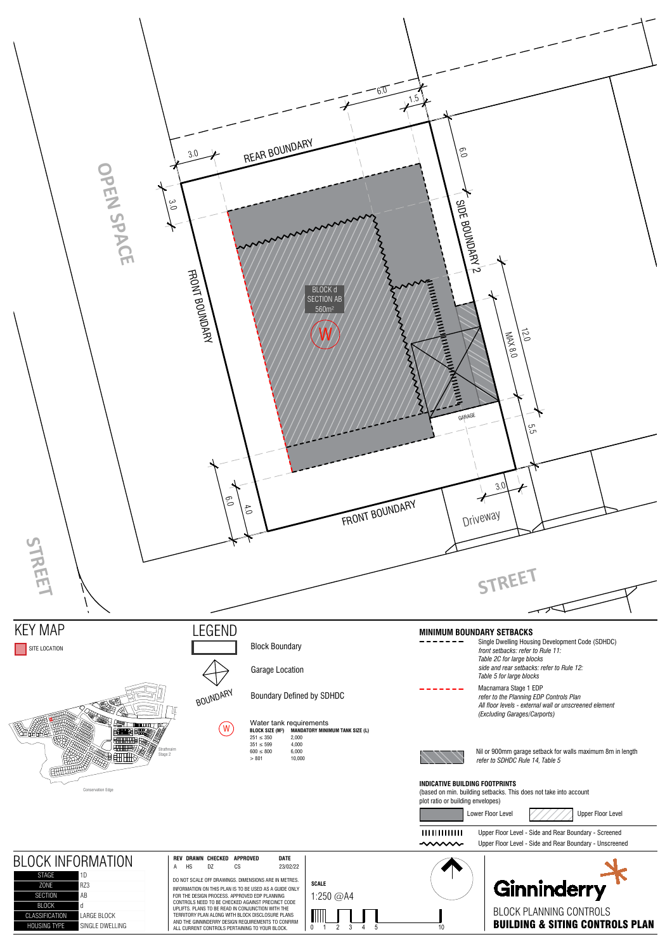